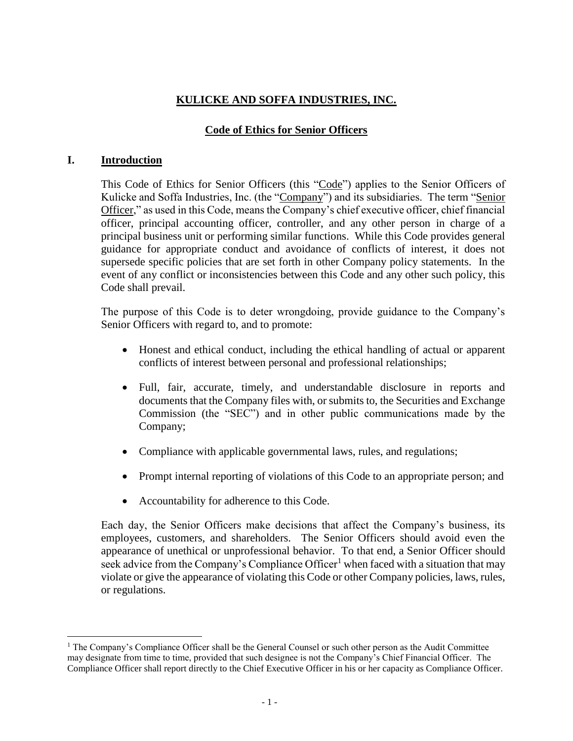# **KULICKE AND SOFFA INDUSTRIES, INC.**

# **Code of Ethics for Senior Officers**

### **I. Introduction**

 $\overline{a}$ 

This Code of Ethics for Senior Officers (this "Code") applies to the Senior Officers of Kulicke and Soffa Industries, Inc. (the "Company") and its subsidiaries. The term "Senior Officer," as used in this Code, means the Company's chief executive officer, chief financial officer, principal accounting officer, controller, and any other person in charge of a principal business unit or performing similar functions. While this Code provides general guidance for appropriate conduct and avoidance of conflicts of interest, it does not supersede specific policies that are set forth in other Company policy statements. In the event of any conflict or inconsistencies between this Code and any other such policy, this Code shall prevail.

The purpose of this Code is to deter wrongdoing, provide guidance to the Company's Senior Officers with regard to, and to promote:

- Honest and ethical conduct, including the ethical handling of actual or apparent conflicts of interest between personal and professional relationships;
- Full, fair, accurate, timely, and understandable disclosure in reports and documents that the Company files with, or submits to, the Securities and Exchange Commission (the "SEC") and in other public communications made by the Company;
- Compliance with applicable governmental laws, rules, and regulations;
- Prompt internal reporting of violations of this Code to an appropriate person; and
- Accountability for adherence to this Code.

Each day, the Senior Officers make decisions that affect the Company's business, its employees, customers, and shareholders. The Senior Officers should avoid even the appearance of unethical or unprofessional behavior. To that end, a Senior Officer should seek advice from the Company's Compliance Officer<sup>1</sup> when faced with a situation that may violate or give the appearance of violating this Code or other Company policies, laws, rules, or regulations.

<sup>1</sup> The Company's Compliance Officer shall be the General Counsel or such other person as the Audit Committee may designate from time to time, provided that such designee is not the Company's Chief Financial Officer. The Compliance Officer shall report directly to the Chief Executive Officer in his or her capacity as Compliance Officer.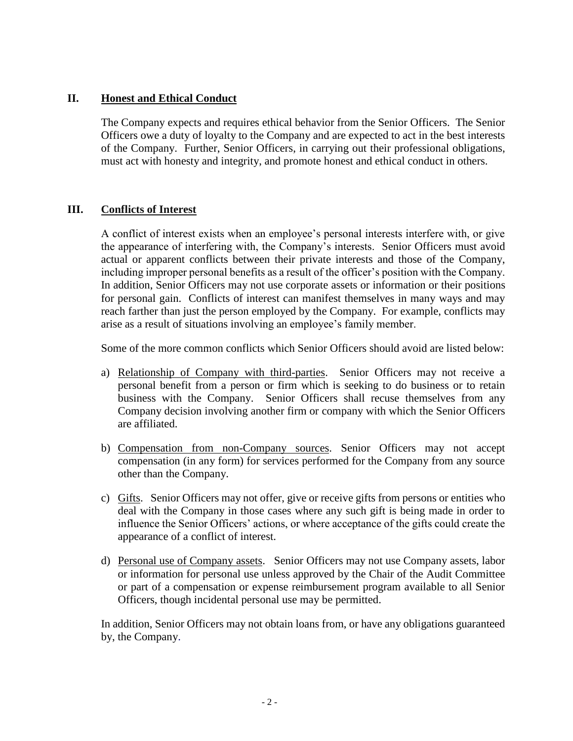# **II. Honest and Ethical Conduct**

The Company expects and requires ethical behavior from the Senior Officers. The Senior Officers owe a duty of loyalty to the Company and are expected to act in the best interests of the Company. Further, Senior Officers, in carrying out their professional obligations, must act with honesty and integrity, and promote honest and ethical conduct in others.

#### **III. Conflicts of Interest**

A conflict of interest exists when an employee's personal interests interfere with, or give the appearance of interfering with, the Company's interests. Senior Officers must avoid actual or apparent conflicts between their private interests and those of the Company, including improper personal benefits as a result of the officer's position with the Company. In addition, Senior Officers may not use corporate assets or information or their positions for personal gain. Conflicts of interest can manifest themselves in many ways and may reach farther than just the person employed by the Company. For example, conflicts may arise as a result of situations involving an employee's family member.

Some of the more common conflicts which Senior Officers should avoid are listed below:

- a) Relationship of Company with third-parties. Senior Officers may not receive a personal benefit from a person or firm which is seeking to do business or to retain business with the Company. Senior Officers shall recuse themselves from any Company decision involving another firm or company with which the Senior Officers are affiliated.
- b) Compensation from non-Company sources. Senior Officers may not accept compensation (in any form) for services performed for the Company from any source other than the Company.
- c) Gifts. Senior Officers may not offer, give or receive gifts from persons or entities who deal with the Company in those cases where any such gift is being made in order to influence the Senior Officers' actions, or where acceptance of the gifts could create the appearance of a conflict of interest.
- d) Personal use of Company assets. Senior Officers may not use Company assets, labor or information for personal use unless approved by the Chair of the Audit Committee or part of a compensation or expense reimbursement program available to all Senior Officers, though incidental personal use may be permitted.

In addition, Senior Officers may not obtain loans from, or have any obligations guaranteed by, the Company.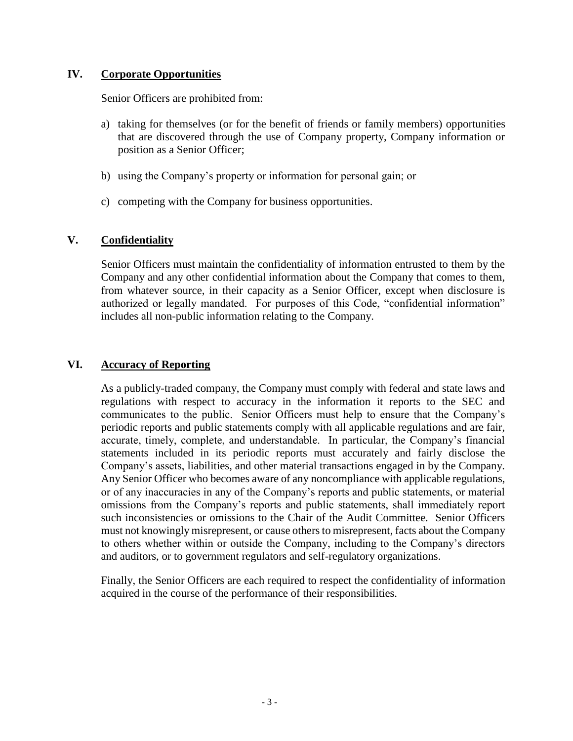## **IV. Corporate Opportunities**

Senior Officers are prohibited from:

- a) taking for themselves (or for the benefit of friends or family members) opportunities that are discovered through the use of Company property, Company information or position as a Senior Officer;
- b) using the Company's property or information for personal gain; or
- c) competing with the Company for business opportunities.

### **V. Confidentiality**

Senior Officers must maintain the confidentiality of information entrusted to them by the Company and any other confidential information about the Company that comes to them, from whatever source, in their capacity as a Senior Officer, except when disclosure is authorized or legally mandated. For purposes of this Code, "confidential information" includes all non-public information relating to the Company.

### **VI. Accuracy of Reporting**

As a publicly-traded company, the Company must comply with federal and state laws and regulations with respect to accuracy in the information it reports to the SEC and communicates to the public. Senior Officers must help to ensure that the Company's periodic reports and public statements comply with all applicable regulations and are fair, accurate, timely, complete, and understandable. In particular, the Company's financial statements included in its periodic reports must accurately and fairly disclose the Company's assets, liabilities, and other material transactions engaged in by the Company. Any Senior Officer who becomes aware of any noncompliance with applicable regulations, or of any inaccuracies in any of the Company's reports and public statements, or material omissions from the Company's reports and public statements, shall immediately report such inconsistencies or omissions to the Chair of the Audit Committee. Senior Officers must not knowingly misrepresent, or cause others to misrepresent, facts about the Company to others whether within or outside the Company, including to the Company's directors and auditors, or to government regulators and self-regulatory organizations.

Finally, the Senior Officers are each required to respect the confidentiality of information acquired in the course of the performance of their responsibilities.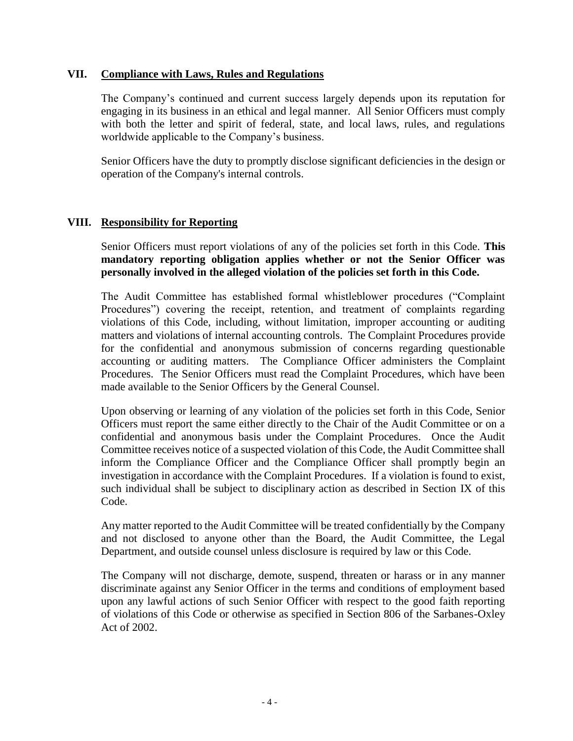#### **VII. Compliance with Laws, Rules and Regulations**

The Company's continued and current success largely depends upon its reputation for engaging in its business in an ethical and legal manner. All Senior Officers must comply with both the letter and spirit of federal, state, and local laws, rules, and regulations worldwide applicable to the Company's business.

Senior Officers have the duty to promptly disclose significant deficiencies in the design or operation of the Company's internal controls.

### **VIII. Responsibility for Reporting**

Senior Officers must report violations of any of the policies set forth in this Code. **This mandatory reporting obligation applies whether or not the Senior Officer was personally involved in the alleged violation of the policies set forth in this Code.** 

The Audit Committee has established formal whistleblower procedures ("Complaint Procedures") covering the receipt, retention, and treatment of complaints regarding violations of this Code, including, without limitation, improper accounting or auditing matters and violations of internal accounting controls. The Complaint Procedures provide for the confidential and anonymous submission of concerns regarding questionable accounting or auditing matters. The Compliance Officer administers the Complaint Procedures. The Senior Officers must read the Complaint Procedures, which have been made available to the Senior Officers by the General Counsel.

Upon observing or learning of any violation of the policies set forth in this Code, Senior Officers must report the same either directly to the Chair of the Audit Committee or on a confidential and anonymous basis under the Complaint Procedures. Once the Audit Committee receives notice of a suspected violation of this Code, the Audit Committee shall inform the Compliance Officer and the Compliance Officer shall promptly begin an investigation in accordance with the Complaint Procedures. If a violation is found to exist, such individual shall be subject to disciplinary action as described in Section IX of this Code.

Any matter reported to the Audit Committee will be treated confidentially by the Company and not disclosed to anyone other than the Board, the Audit Committee, the Legal Department, and outside counsel unless disclosure is required by law or this Code.

The Company will not discharge, demote, suspend, threaten or harass or in any manner discriminate against any Senior Officer in the terms and conditions of employment based upon any lawful actions of such Senior Officer with respect to the good faith reporting of violations of this Code or otherwise as specified in Section 806 of the Sarbanes-Oxley Act of 2002.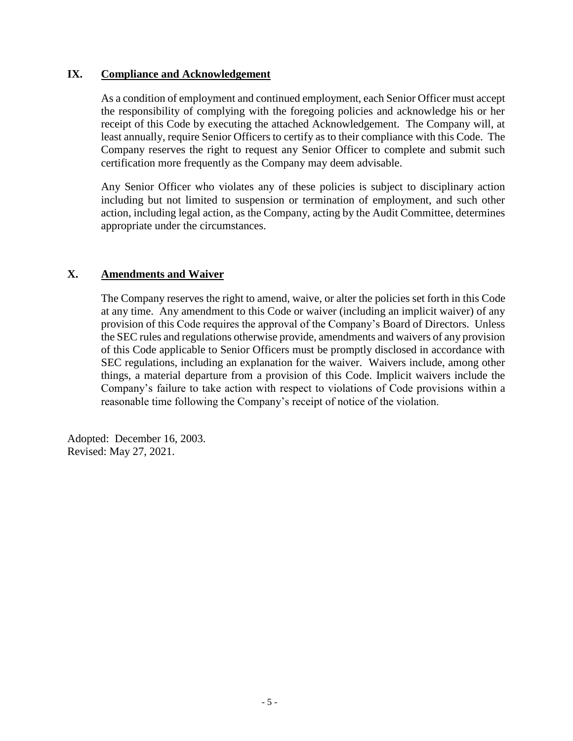### **IX. Compliance and Acknowledgement**

As a condition of employment and continued employment, each Senior Officer must accept the responsibility of complying with the foregoing policies and acknowledge his or her receipt of this Code by executing the attached Acknowledgement. The Company will, at least annually, require Senior Officers to certify as to their compliance with this Code. The Company reserves the right to request any Senior Officer to complete and submit such certification more frequently as the Company may deem advisable.

Any Senior Officer who violates any of these policies is subject to disciplinary action including but not limited to suspension or termination of employment, and such other action, including legal action, as the Company, acting by the Audit Committee, determines appropriate under the circumstances.

# **X. Amendments and Waiver**

The Company reserves the right to amend, waive, or alter the policies set forth in this Code at any time. Any amendment to this Code or waiver (including an implicit waiver) of any provision of this Code requires the approval of the Company's Board of Directors. Unless the SEC rules and regulations otherwise provide, amendments and waivers of any provision of this Code applicable to Senior Officers must be promptly disclosed in accordance with SEC regulations, including an explanation for the waiver. Waivers include, among other things, a material departure from a provision of this Code. Implicit waivers include the Company's failure to take action with respect to violations of Code provisions within a reasonable time following the Company's receipt of notice of the violation.

Adopted: December 16, 2003. Revised: May 27, 2021.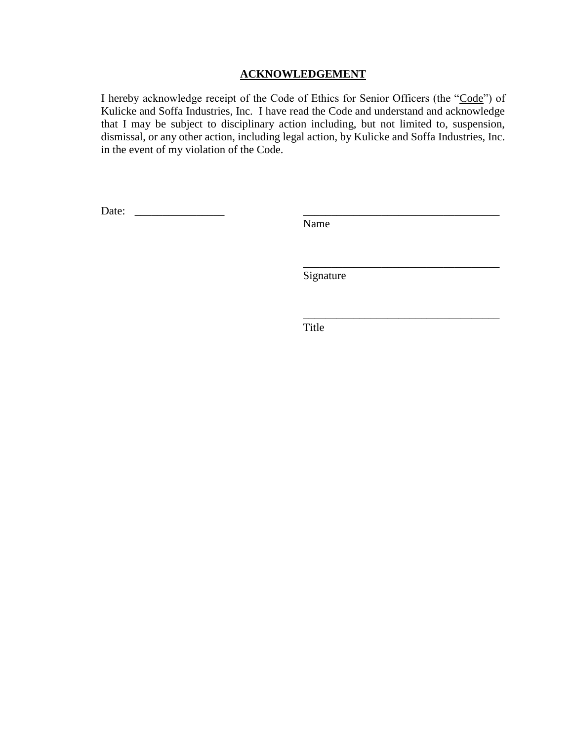#### **ACKNOWLEDGEMENT**

I hereby acknowledge receipt of the Code of Ethics for Senior Officers (the "Code") of Kulicke and Soffa Industries, Inc. I have read the Code and understand and acknowledge that I may be subject to disciplinary action including, but not limited to, suspension, dismissal, or any other action, including legal action, by Kulicke and Soffa Industries, Inc. in the event of my violation of the Code.

Date: \_\_\_\_\_\_\_\_\_\_\_\_\_\_\_\_ \_\_\_\_\_\_\_\_\_\_\_\_\_\_\_\_\_\_\_\_\_\_\_\_\_\_\_\_\_\_\_\_\_\_\_

Name

Signature

\_\_\_\_\_\_\_\_\_\_\_\_\_\_\_\_\_\_\_\_\_\_\_\_\_\_\_\_\_\_\_\_\_\_\_

\_\_\_\_\_\_\_\_\_\_\_\_\_\_\_\_\_\_\_\_\_\_\_\_\_\_\_\_\_\_\_\_\_\_\_

Title